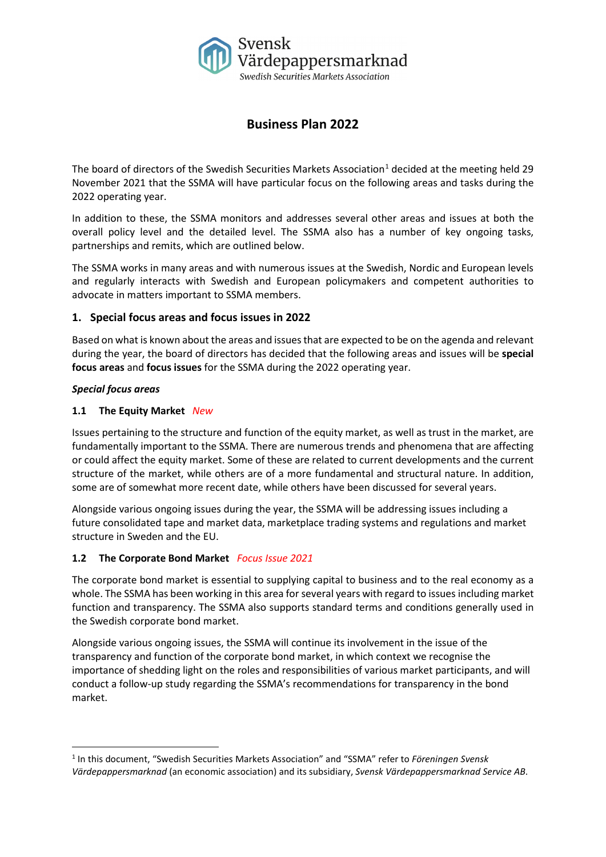

# **Business Plan 2022**

The board of directors of the Swedish Securities Markets Association<sup>[1](#page-0-0)</sup> decided at the meeting held 29 November 2021 that the SSMA will have particular focus on the following areas and tasks during the 2022 operating year.

In addition to these, the SSMA monitors and addresses several other areas and issues at both the overall policy level and the detailed level. The SSMA also has a number of key ongoing tasks, partnerships and remits, which are outlined below.

The SSMA works in many areas and with numerous issues at the Swedish, Nordic and European levels and regularly interacts with Swedish and European policymakers and competent authorities to advocate in matters important to SSMA members.

# **1. Special focus areas and focus issues in 2022**

Based on what is known about the areas and issues that are expected to be on the agenda and relevant during the year, the board of directors has decided that the following areas and issues will be **special focus areas** and **focus issues** for the SSMA during the 2022 operating year.

# *Special focus areas*

# **1.1 The Equity Market** *New*

Issues pertaining to the structure and function of the equity market, as well as trust in the market, are fundamentally important to the SSMA. There are numerous trends and phenomena that are affecting or could affect the equity market. Some of these are related to current developments and the current structure of the market, while others are of a more fundamental and structural nature. In addition, some are of somewhat more recent date, while others have been discussed for several years.

Alongside various ongoing issues during the year, the SSMA will be addressing issues including a future consolidated tape and market data, marketplace trading systems and regulations and market structure in Sweden and the EU.

# **1.2 The Corporate Bond Market** *Focus Issue 2021*

The corporate bond market is essential to supplying capital to business and to the real economy as a whole. The SSMA has been working in this area for several years with regard to issues including market function and transparency. The SSMA also supports standard terms and conditions generally used in the Swedish corporate bond market.

Alongside various ongoing issues, the SSMA will continue its involvement in the issue of the transparency and function of the corporate bond market, in which context we recognise the importance of shedding light on the roles and responsibilities of various market participants, and will conduct a follow-up study regarding the SSMA's recommendations for transparency in the bond market.

<span id="page-0-0"></span><sup>1</sup> In this document, "Swedish Securities Markets Association" and "SSMA" refer to *Föreningen Svensk Värdepappersmarknad* (an economic association) and its subsidiary, *Svensk Värdepappersmarknad Service AB*.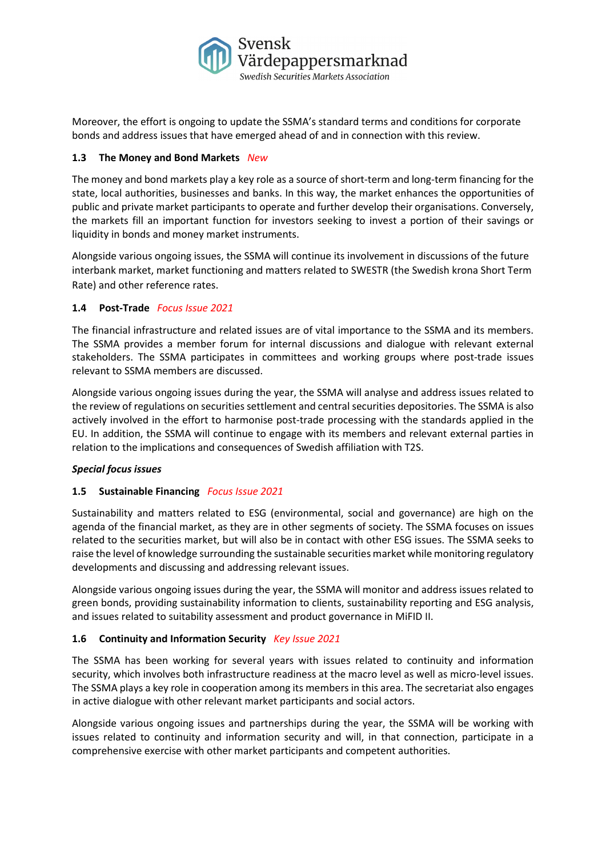

Moreover, the effort is ongoing to update the SSMA's standard terms and conditions for corporate bonds and address issues that have emerged ahead of and in connection with this review.

# **1.3 The Money and Bond Markets** *New*

The money and bond markets play a key role as a source of short-term and long-term financing for the state, local authorities, businesses and banks. In this way, the market enhances the opportunities of public and private market participants to operate and further develop their organisations. Conversely, the markets fill an important function for investors seeking to invest a portion of their savings or liquidity in bonds and money market instruments.

Alongside various ongoing issues, the SSMA will continue its involvement in discussions of the future interbank market, market functioning and matters related to SWESTR (the Swedish krona Short Term Rate) and other reference rates.

# **1.4 Post-Trade** *Focus Issue 2021*

The financial infrastructure and related issues are of vital importance to the SSMA and its members. The SSMA provides a member forum for internal discussions and dialogue with relevant external stakeholders. The SSMA participates in committees and working groups where post-trade issues relevant to SSMA members are discussed.

Alongside various ongoing issues during the year, the SSMA will analyse and address issues related to the review of regulations on securities settlement and central securities depositories. The SSMA is also actively involved in the effort to harmonise post-trade processing with the standards applied in the EU. In addition, the SSMA will continue to engage with its members and relevant external parties in relation to the implications and consequences of Swedish affiliation with T2S.

#### *Special focus issues*

# **1.5 Sustainable Financing** *Focus Issue 2021*

Sustainability and matters related to ESG (environmental, social and governance) are high on the agenda of the financial market, as they are in other segments of society. The SSMA focuses on issues related to the securities market, but will also be in contact with other ESG issues. The SSMA seeks to raise the level of knowledge surrounding the sustainable securities market while monitoring regulatory developments and discussing and addressing relevant issues.

Alongside various ongoing issues during the year, the SSMA will monitor and address issues related to green bonds, providing sustainability information to clients, sustainability reporting and ESG analysis, and issues related to suitability assessment and product governance in MiFID II.

#### **1.6 Continuity and Information Security** *Key Issue 2021*

The SSMA has been working for several years with issues related to continuity and information security, which involves both infrastructure readiness at the macro level as well as micro-level issues. The SSMA plays a key role in cooperation among its members in this area. The secretariat also engages in active dialogue with other relevant market participants and social actors.

Alongside various ongoing issues and partnerships during the year, the SSMA will be working with issues related to continuity and information security and will, in that connection, participate in a comprehensive exercise with other market participants and competent authorities.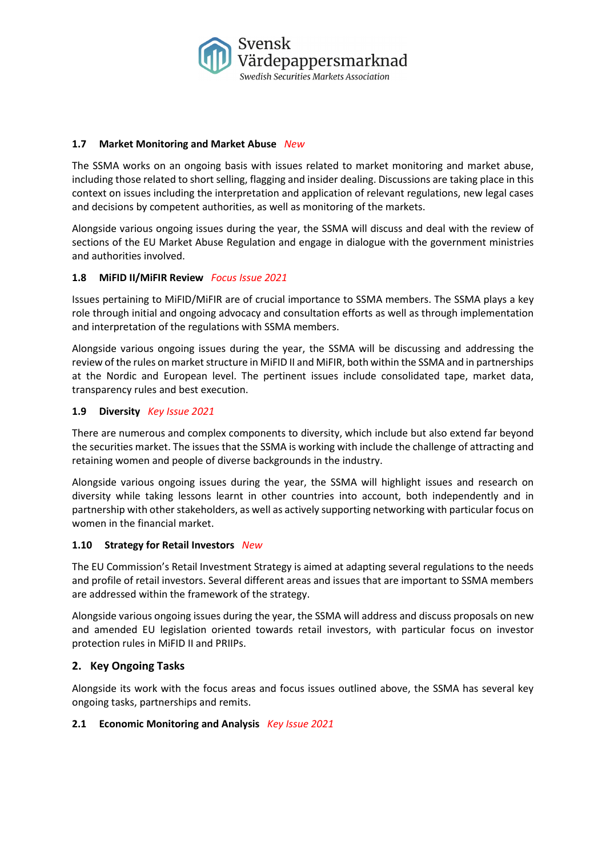

#### **1.7 Market Monitoring and Market Abuse** *New*

The SSMA works on an ongoing basis with issues related to market monitoring and market abuse, including those related to short selling, flagging and insider dealing. Discussions are taking place in this context on issues including the interpretation and application of relevant regulations, new legal cases and decisions by competent authorities, as well as monitoring of the markets.

Alongside various ongoing issues during the year, the SSMA will discuss and deal with the review of sections of the EU Market Abuse Regulation and engage in dialogue with the government ministries and authorities involved.

# **1.8 MiFID II/MiFIR Review** *Focus Issue 2021*

Issues pertaining to MiFID/MiFIR are of crucial importance to SSMA members. The SSMA plays a key role through initial and ongoing advocacy and consultation efforts as well as through implementation and interpretation of the regulations with SSMA members.

Alongside various ongoing issues during the year, the SSMA will be discussing and addressing the review of the rules on market structure in MiFID II and MiFIR, both within the SSMA and in partnerships at the Nordic and European level. The pertinent issues include consolidated tape, market data, transparency rules and best execution.

#### **1.9 Diversity** *Key Issue 2021*

There are numerous and complex components to diversity, which include but also extend far beyond the securities market. The issues that the SSMA is working with include the challenge of attracting and retaining women and people of diverse backgrounds in the industry.

Alongside various ongoing issues during the year, the SSMA will highlight issues and research on diversity while taking lessons learnt in other countries into account, both independently and in partnership with other stakeholders, as well as actively supporting networking with particular focus on women in the financial market.

#### **1.10 Strategy for Retail Investors** *New*

The EU Commission's Retail Investment Strategy is aimed at adapting several regulations to the needs and profile of retail investors. Several different areas and issues that are important to SSMA members are addressed within the framework of the strategy.

Alongside various ongoing issues during the year, the SSMA will address and discuss proposals on new and amended EU legislation oriented towards retail investors, with particular focus on investor protection rules in MiFID II and PRIIPs.

#### **2. Key Ongoing Tasks**

Alongside its work with the focus areas and focus issues outlined above, the SSMA has several key ongoing tasks, partnerships and remits.

#### **2.1 Economic Monitoring and Analysis** *Key Issue 2021*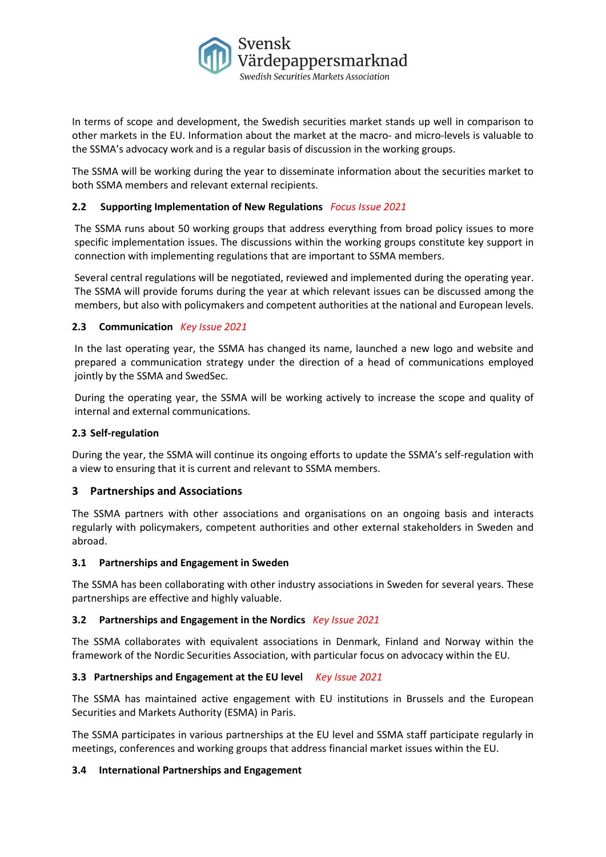

In terms of scope and development, the Swedish securities market stands up well in comparison to other markets in the EU. Information about the market at the macro- and micro-levels is valuable to the SSMA's advocacy work and is a regular basis of discussion in the working groups.

The SSMA will be working during the year to disseminate information about the securities market to both SSMA members and relevant external recipients.

# **2.2 Supporting Implementation of New Regulations** *Focus Issue 2021*

The SSMA runs about 50 working groups that address everything from broad policy issues to more specific implementation issues. The discussions within the working groups constitute key support in connection with implementing regulations that are important to SSMA members.

Several central regulations will be negotiated, reviewed and implemented during the operating year. The SSMA will provide forums during the year at which relevant issues can be discussed among the members, but also with policymakers and competent authorities at the national and European levels.

#### **2.3 Communication** *Key Issue 2021*

In the last operating year, the SSMA has changed its name, launched a new logo and website and prepared a communication strategy under the direction of a head of communications employed jointly by the SSMA and SwedSec.

During the operating year, the SSMA will be working actively to increase the scope and quality of internal and external communications.

### **2.3 Self-regulation**

During the year, the SSMA will continue its ongoing efforts to update the SSMA's self-regulation with a view to ensuring that it is current and relevant to SSMA members.

# **3 Partnerships and Associations**

The SSMA partners with other associations and organisations on an ongoing basis and interacts regularly with policymakers, competent authorities and other external stakeholders in Sweden and abroad.

#### **3.1 Partnerships and Engagement in Sweden**

The SSMA has been collaborating with other industry associations in Sweden for several years. These partnerships are effective and highly valuable.

#### **3.2 Partnerships and Engagement in the Nordics** *Key Issue 2021*

The SSMA collaborates with equivalent associations in Denmark, Finland and Norway within the framework of the Nordic Securities Association, with particular focus on advocacy within the EU.

#### **3.3 Partnerships and Engagement at the EU level** *Key Issue 2021*

The SSMA has maintained active engagement with EU institutions in Brussels and the European Securities and Markets Authority (ESMA) in Paris.

The SSMA participates in various partnerships at the EU level and SSMA staff participate regularly in meetings, conferences and working groups that address financial market issues within the EU.

#### **3.4 International Partnerships and Engagement**